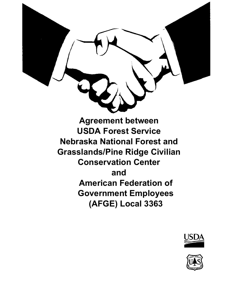

**Agreement between USDA Forest Service Nebraska National Forest and Grasslands/Pine Ridge Civilian Conservation Center and American Federation of Government Employees (AFGE) Local 3363**



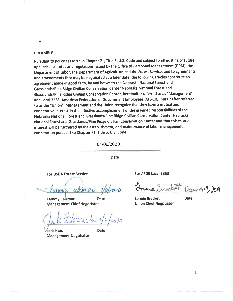#### **PREAMBLE**

Pursuant to policy set forth in Chapter 71, Title 5, U.S. Code and subject to all existing or future applicable statutes and regulations issued by the Office of Personnel Management (OPM), the Department of Labor, the Department of Agriculture and the Forest Service, and to agreements and amendments that may be negotiated at a later date, the following articles constitute an agreement made in good faith, by and between the Nebraska National Forest and Grasslands/Pine Ridge Civilian Conservation Center Nebraska National Forest and Grasslands/Pine Ridge Civilian Conservation Center, hereinafter referred to as "Management", and Local 3363, American Federation of Government Employees, AFL-CIO, hereinafter referred to as the "Union". Management and the Union recognize that they have a mutual and cooperative interest in the effective accomplishment of the assigned responsibilities of the Nebraska National Forest and Grasslands/Pine Ridge Civilian Conservation Center Nebraska National Forest and Grasslands/Pine Ridge Civilian Conservation Center and that this mutual interest will be furthered by the establishment, and maintenance of labor-management cooperation pursuant to Chapter 71, Title 5, U.S. Code.

01/06/2020

Date

For USDA Forest Service

alamar

**Tammy Calamari Date Management Chief Negotiator** 

 $6/2020$ 

Date

Jack Issac **Management Negotiator** 

For AFGE Local 3363

nacheti December 19, 2019

Lonnie Bracket **Union Chief Negotiator** 

**Date** 

 $\mathbf{I}$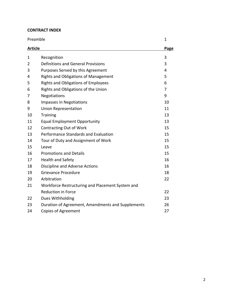## **CONTRACT INDEX**

| Preamble       |                                                   | 1<br>Page      |
|----------------|---------------------------------------------------|----------------|
| <b>Article</b> |                                                   |                |
| 1              | Recognition                                       | 3              |
| $\overline{2}$ | <b>Definitions and General Provisions</b>         | 3              |
| 3              | Purposes Served by this Agreement                 | 4              |
| 4              | <b>Rights and Obligations of Management</b>       | 5              |
| 5              | <b>Rights and Obligations of Employees</b>        | 6              |
| 6              | Rights and Obligations of the Union               | $\overline{7}$ |
| 7              | Negotiations                                      | 9              |
| 8              | Impasses in Negotiations                          | 10             |
| 9              | <b>Union Representation</b>                       | 11             |
| 10             | <b>Training</b>                                   | 13             |
| 11             | <b>Equal Employment Opportunity</b>               | 13             |
| 12             | <b>Contracting Out of Work</b>                    | 15             |
| 13             | Performance Standards and Evaluation              | 15             |
| 14             | Tour of Duty and Assignment of Work               | 15             |
| 15             | Leave                                             | 15             |
| 16             | <b>Promotions and Details</b>                     | 15             |
| 17             | <b>Health and Safety</b>                          | 16             |
| 18             | Discipline and Adverse Actions                    | 16             |
| 19             | Grievance Procedure                               | 18             |
| 20             | Arbitration                                       | 22             |
| 21             | Workforce Restructuring and Placement System and  |                |
|                | <b>Reduction in Force</b>                         | 22             |
| 22             | Dues Withholding                                  | 23             |
| 23             | Duration of Agreement, Amendments and Supplements | 26             |
| 24             | <b>Copies of Agreement</b>                        | 27             |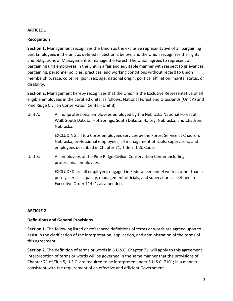#### **Recognition**

**Section 1.** Management recognizes the Union as the exclusive representative of all bargaining unit Employees in the unit as defined in Section 2 below, and the Union recognizes the rights and obligations of Management to manage the Forest. The Union agrees to represent all bargaining unit employees in the unit in a fair and equitable manner with respect to grievances, bargaining, personnel policies, practices, and working conditions without regard to Union membership, race, color, religion, sex, age, national origin, political affiliation, marital status, or disability.

**Section 2.** Management hereby recognizes that the Union is the Exclusive Representative of all eligible employees in the certified units, as follows: National Forest and Grasslands (Unit A) and Pine Ridge Civilian Conservation Center (Unit B).

Unit A: All nonprofessional employees employed by the Nebraska National Forest at Wall, South Dakota; Hot Springs, South Dakota; Halsey, Nebraska; and Chadron, Nebraska.

> EXCLUDING all Job Corps employees services by the Forest Service at Chadron, Nebraska, professional employees, all management officials, supervisors, and employees described in Chapter 71, Title 5, U.S. Code.

Unit B: All employees of the Pine Ridge Civilian Conservation Center including professional employees.

> EXCLUDED are all employees engaged in Federal personnel work in other than a purely clerical capacity, management officials, and supervisors as defined in Executive Order 11491, as amended.

### **ARTICLE 2**

#### **Definitions and General Provisions**

**Section 1.** The following listed or referenced definitions of terms or words are agreed upon to assist in the clarification of the interpretation, application, and administration of the terms of this agreement.

**Section 2.** The definition of terms or words in 5 U.S.C. Chapter 71, will apply to this agreement. Interpretation of terms or words will be governed in the same manner that the provisions of Chapter 71 of Title 5, U.S.C. are required to be interpreted under 5 U.S.C. 7101; in a manner consistent with the requirement of an effective and efficient Government.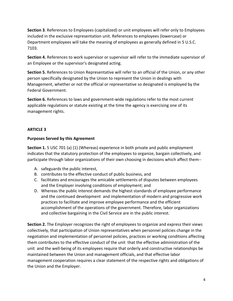**Section 3**. References to Employees (capitalized) or unit employees will refer only to Employees included in the exclusive representation unit. References to employees (lowercase) or Department employees will take the meaning of employees as generally defined in 5 U.S.C. 7103.

**Section 4.** References to work supervisor or supervisor will refer to the immediate supervisor of an Employee or the supervisor's designated acting.

**Section 5.** References to Union Representative will refer to an official of the Union, or any other person specifically designated by the Union to represent the Union in dealings with Management, whether or not the official or representative so designated is employed by the Federal Government.

**Section 6.** References to laws and government-wide regulations refer to the most current applicable regulations or statute existing at the time the agency is exercising one of its management rights.

# **ARTICLE 3**

## **Purposes Served by this Agreement**

**Section 1.** 5 USC 701 (a) (1) (Whereas) experience in both private and public employment indicates that the statutory protection of the employees to organize, bargain collectively, and participate through labor organizations of their own choosing in decisions which affect them--

- A. safeguards the public interest,
- B. contributes to the effective conduct of public business, and
- C. facilitates and encourages the amicable settlements of disputes between employees and the Employer involving conditions of employment; and
- D. Whereas the public interest demands the highest standards of employee performance and the continued development and implementation of modern and progressive work practices to facilitate and improve employee performance and the efficient accomplishment of the operations of the government. Therefore, labor organizations and collective bargaining in the Civil Service are in the public interest.

**Section 2.** The Employer recognizes the right of employees to organize and express their views collectively, that participation of Union representatives when personnel policies change in the negotiation and implementation of personnel policies, practices or working conditions affecting them contributes to the effective conduct of the unit that the effective administration of the unit and the well-being of its employees require that orderly and constructive relationships be maintained between the Union and management officials, and that effective labor management cooperation requires a clear statement of the respective rights and obligations of the Union and the Employer.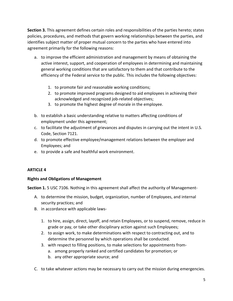**Section 3.** This agreement defines certain roles and responsibilities of the parties hereto; states policies, procedures, and methods that govern working relationships between the parties, and identifies subject matter of proper mutual concern to the parties who have entered into agreement primarily for the following reasons:

- a. to improve the efficient administration and management by means of obtaining the active interest, support, and cooperation of employees in determining and maintaining general working conditions that are satisfactory to them and that contribute to the efficiency of the Federal service to the public. This includes the following objectives:
	- 1. to promote fair and reasonable working conditions;
	- 2. to promote improved programs designed to aid employees in achieving their acknowledged and recognized job-related objectives;
	- 3. to promote the highest degree of morale in the employee.
- b. to establish a basic understanding relative to matters affecting conditions of employment under this agreement;
- c. to facilitate the adjustment of grievances and disputes in carrying out the intent in U.S. Code, Section 7121.
- d. to promote effective employee/management relations between the employer and Employees; and
- e. to provide a safe and healthful work environment.

### **ARTICLE 4**

### **Rights and Obligations of Management**

**Section 1.** 5 USC 7106. Nothing in this agreement shall affect the authority of Management-

- A. to determine the mission, budget, organization, number of Employees, and internal security practices; and
- B. in accordance with applicable laws-
	- 1. to hire, assign, direct, layoff, and retain Employees, or to suspend, remove, reduce in grade or pay, or take other disciplinary action against such Employees;
	- 2. to assign work, to make determinations with respect to contracting out, and to determine the personnel by which operations shall be conducted.
	- 3. with respect to filling positions, to make selections for appointments from
		- a. among properly ranked and certified candidates for promotion; or
		- b. any other appropriate source; and
- C. to take whatever actions may be necessary to carry out the mission during emergencies.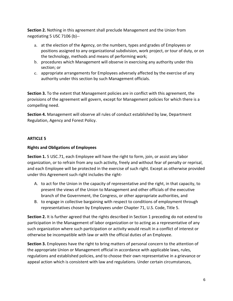**Section 2.** Nothing in this agreement shall preclude Management and the Union from negotiating 5 USC 7106 (b)--

- a. at the election of the Agency, on the numbers, types and grades of Employees or positions assigned to any organizational subdivision, work project, or tour of duty, or on the technology, methods and means of performing work;
- b. procedures which Management will observe in exercising any authority under this section; or
- c. appropriate arrangements for Employees adversely affected by the exercise of any authority under this section by such Management officials.

**Section 3.** To the extent that Management policies are in conflict with this agreement, the provisions of the agreement will govern, except for Management policies for which there is a compelling need.

**Section 4.** Management will observe all rules of conduct established by law, Department Regulation, Agency and Forest Policy.

## **ARTICLE 5**

## **Rights and Obligations of Employees**

**Section 1.** 5 USC.71, each Employee will have the right to form, join, or assist any labor organization, or to refrain from any such activity, freely and without fear of penalty or reprisal, and each Employee will be protected in the exercise of such right. Except as otherwise provided under this Agreement such right includes the right-

- A. to act for the Union in the capacity of representative and the right, in that capacity, to present the views of the Union to Management and other officials of the executive branch of the Government, the Congress, or other appropriate authorities, and
- B. to engage in collective bargaining with respect to conditions of employment through representatives chosen by Employees under Chapter 71, U.S. Code, Title 5.

**Section 2.** It is further agreed that the rights described in Section 1 preceding do not extend to participation in the Management of labor organization or to acting as a representative of any such organization where such participation or activity would result in a conflict of interest or otherwise be incompatible with law or with the official duties of an Employee.

**Section 3.** Employees have the right to bring matters of personal concern to the attention of the appropriate Union or Management official in accordance with applicable laws, rules, regulations and established policies, and to choose their own representative in a grievance or appeal action which is consistent with law and regulations. Under certain circumstances,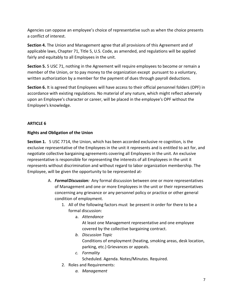Agencies can oppose an employee's choice of representative such as when the choice presents a conflict of interest.

**Section 4.** The Union and Management agree that all provisions of this Agreement and of applicable laws, Chapter 71, Title 5, U.S. Code, as amended, and regulations will be applied fairly and equitably to all Employees in the unit.

**Section 5.** 5 USC 71, nothing in the Agreement will require employees to become or remain a member of the Union, or to pay money to the organization except pursuant to a voluntary, written authorization by a member for the payment of dues through payroll deductions.

**Section 6.** It is agreed that Employees will have access to their official personnel folders (OPF) in accordance with existing regulations. No material of any nature, which might reflect adversely upon an Employee's character or career, will be placed in the employee's OPF without the Employee's knowledge.

# **ARTICLE 6**

## **Rights and Obligation of the Union**

**Section 1.** 5 USC 7714, the Union, which has been accorded exclusive re cognition, is the exclusive representative of the Employees in the unit it represents and is entitled to act for, and negotiate collective bargaining agreements covering all Employees in the unit. An exclusive representative is responsible for representing the interests of all Employees in the unit it represents without discrimination and without regard to labor organization membership. The Employee, will be given the opportunity to be represented at-

- A. *FormalDiscussion:* Any formal discussion between one or more representatives of Management and one or more Employees in the unit or their representatives concerning any grievance or any personnel policy or practice or other general condition of employment.
	- 1. All of the following factors must be present in order for there to be a formal discussion:
		- a. *Attendance* At least one Management representative and one employee covered by the collective bargaining contract.
		- *b. Discussion Topic* Conditions of employment (heating, smoking areas, desk location, parking, etc.) Grievances or appeals.
		- *c. Formality* Scheduled. Agenda. Notes/Minutes. Required.
	- 2. Roles and Requirements:
		- *a. Management*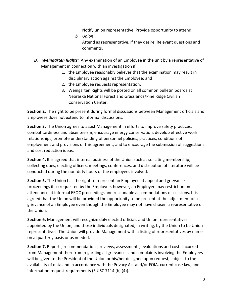Notify union representative. Provide opportunity to attend.

- *b. Union* Attend as representative, if they desire. Relevant questions and comments.
- *B. Weingarten Rights:* Any examination of an Employee in the unit by a representative of Management in connection with an investigation if;
	- 1. the Employee reasonably believes that the examination may result in disciplinary action against the Employee; and
	- 2. the Employee requests representation.
	- 3. Weingarten Rights will be posted on all common bulletin boards at Nebraska National Forest and Grasslands/Pine Ridge Civilian Conservation Center.

**Section 2.** The right to be present during formal discussions between Management officials and Employees does not extend to informal discussions.

**Section 3.** The Union agrees to assist Management in efforts to improve safety practices, combat tardiness and absenteeism, encourage energy conservation, develop effective work relationships, promote understanding of personnel policies, practices, conditions of employment and provisions of this agreement, and to encourage the submission of suggestions and cost reduction ideas.

**Section 4.** It is agreed that internal business of the Union such as soliciting membership, collecting dues, electing officers, meetings, conferences, and distribution of literature will be conducted during the non-duty hours of the employees involved.

**Section 5.** The Union has the right to represent an Employee at appeal and grievance proceedings if so requested by the Employee, however, an Employee may restrict union attendance at informal EEOC proceedings and reasonable accommodations discussions. It is agreed that the Union will be provided the opportunity to be present at the adjustment of a grievance of an Employee even though the Employee may not have chosen a representative of the Union.

**Section 6.** Management will recognize duly elected officials and Union representatives appointed by the Union, and those individuals designated, in writing, by the Union to be Union representatives. The Union will provide Management with a listing of representatives by name on a quarterly basis or as needed.

**Section 7.** Reports, recommendations, reviews, assessments, evaluations and costs incurred from Management therefrom regarding all grievances and complaints involving the Employees will be given to the President of the Union or his/her designee upon request, subject to the availability of data and in accordance with the Privacy Act and/or FOIA, current case law, and information request requirements (5 USC 7114 (b) (4)).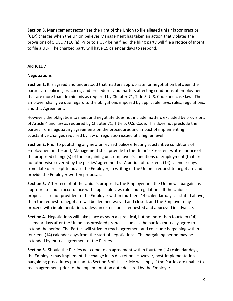**Section 8.** Management recognizes the right of the Union to file alleged unfair labor practice (ULP) charges when the Union believes Management has taken an action that violates the provisions of 5 USC 7116 (a). Prior to a ULP being filed, the filing party will file a Notice of Intent to file a ULP. The charged party will have 15 calendar days to respond.

## **ARTICLE 7**

## **Negotiations**

**Section 1.** It is agreed and understood that matters appropriate for negotiation between the parties are policies, practices, and procedures and matters affecting conditions of employment that are more than de minimis as required by Chapter 71, Title 5, U.S. Code and case law. The Employer shall give due regard to the obligations imposed by applicable laws, rules, regulations, and this Agreement.

However, the obligation to meet and negotiate does not include matters excluded by provisions of Article 4 and law as required by Chapter 71, Title 5, U.S. Code. This does not preclude the parties from negotiating agreements on the procedures and impact of implementing substantive changes required by law or regulation issued at a higher level.

**Section 2.** Prior to publishing any new or revised policy effecting substantive conditions of employment in the unit, Management shall provide to the Union's President written notice of the proposed change(s) of the bargaining unit employee's conditions of employment (that are not otherwise covered by the parties' agreement). A period of fourteen (14) calendar days from date of receipt to advise the Employer, in writing of the Union's request to negotiate and provide the Employer written proposals.

**Section 3.** After receipt of the Union's proposals, the Employer and the Union will bargain, as appropriate and in accordance with applicable law, rule and regulation. If the Union's proposals are not provided to the Employer within fourteen (14) calendar days as stated above, then the request to negotiate will be deemed waived and closed, and the Employer may proceed with implementation, unless an extension is requested and approved in advance.

**Section 4.** Negotiations will take place as soon as practical, but no more than fourteen (14) calendar days after the Union has provided proposals, unless the parties mutually agree to extend the period. The Parties will strive to reach agreement and conclude bargaining within fourteen (14) calendar days from the start of negotiations. The bargaining period may be extended by mutual agreement of the Parties.

**Section 5.** Should the Parties not come to an agreement within fourteen (14) calendar days, the Employer may implement the change in its discretion. However, post-implementation bargaining procedures pursuant to Section 6 of this article will apply if the Parties are unable to reach agreement prior to the implementation date declared by the Employer.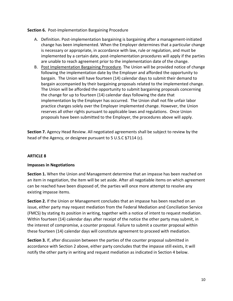**Section 6.** Post-Implementation Bargaining Procedure

- A. Definition. Post-implementation bargaining is bargaining after a management-initiated change has been implemented. When the Employer determines that a particular change is necessary or appropriate, in accordance with law, rule or regulation, and must be implemented by a certain date, post-implementation procedures will apply if the parties are unable to reach agreement prior to the implementation date of the change.
- B. Post Implementation Bargaining Procedure. The Union will be provided notice of change following the implementation date by the Employer and afforded the opportunity to bargain. The Union will have fourteen (14) calendar days to submit their demand to bargain accompanied by their bargaining proposals related to the implemented change. The Union will be afforded the opportunity to submit bargaining proposals concerning the change for up to fourteen (14) calendar days following the date that implementation by the Employer has occurred. The Union shall not file unfair labor practice charges solely over the Employer implemented change. However, the Union reserves all other rights pursuant to applicable laws and regulations. Once Union proposals have been submitted to the Employer, the procedures above will apply.

**Section 7.** Agency Head Review. All negotiated agreements shall be subject to review by the head of the Agency, or designee pursuant to 5 U.S.C §7114 (c).

# **ARTICLE 8**

### **Impasses in Negotiations**

**Section 1.** When the Union and Management determine that an impasse has been reached on an item in negotiation, the item will be set aside. After all negotiable items on which agreement can be reached have been disposed of, the parties will once more attempt to resolve any existing impasse items.

**Section 2.** If the Union or Management concludes that an impasse has been reached on an issue, either party may request mediation from the Federal Mediation and Conciliation Service (FMCS) by stating its position in writing, together with a notice of intent to request mediation. Within fourteen (14) calendar days after receipt of the notice the other party may submit, in the interest of compromise, a counter proposal. Failure to submit a counter proposal within these fourteen (14) calendar days will constitute agreement to proceed with mediation.

**Section 3.** If, after discussion between the parties of the counter proposal submitted in accordance with Section 2 above, either party concludes that the impasse still exists, it will notify the other party in writing and request mediation as indicated in Section 4 below.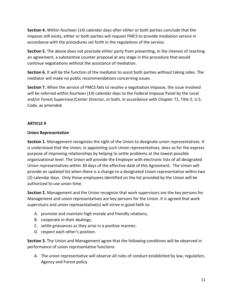**Section 4.** Within fourteen (14) calendar days after either or both parties conclude that the impasse still exists, either or both parties will request FMCS to provide mediation service in accordance with the procedures set forth in the regulations of the service.

**Section 5.** The above does not preclude either party from presenting, in the interest of reaching an agreement, a substantive counter proposal at any stage in this procedure that would continue negotiations without the assistance of mediation.

**Section 6.** It will be the function of the mediator to assist both parties without taking sides. The mediator will make no public recommendations concerning issues.

**Section 7.** When the service of FMCS fails to resolve a negotiation impasse, the issue involved will be referred within fourteen (14) calendar days to the Federal Impasse Panel by the Local and/or Forest Supervisor/Center Director, or both, in accordance with Chapter 71, Title 5, U.S. Code, as amended.

## **ARTICLE 9**

### **Union Representation**

**Section 1.** Management recognizes the right of the Union to designate union representatives. It is understood that the Union, in appointing such Union representatives, does so for the express purpose of improving relationships by helping to settle problems at the lowest possible organizational level. The Union will provide the Employer with electronic lists of all designated Union representatives within 30 days of the effective date of this Agreement. The Union will provide an updated list when there is a change to a designated Union representative within two (2) calendar days. Only those employees identified on the list provided by the Union will be authorized to use union time.

**Section 2.** Management and the Union recognize that work supervisors are the key persons for Management and union representatives are key persons for the Union. It is agreed that work supervisors and union representative(s) will strive in good faith to:

- A. promote and maintain high morale and friendly relations;
- B. cooperate in their dealings;
- C. settle grievances as they arise in a positive manner;
- D. respect each other's position.

**Section 3.** The Union and Management agree that the following conditions will be observed in performance of union representative functions.

A. The union representative will observe all rules of conduct established by law, regulation, Agency and Forest policy.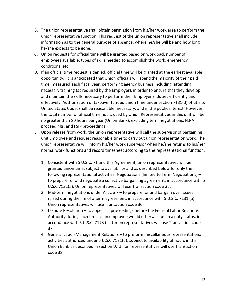- B. The union representative shall obtain permission from his/her work area to perform the union representative function. This request of the union representative shall include information as to the general purpose of absence, where he/she will be and how long he/she expects to be gone.
- C. Union requests for official time will be granted based on workload, number of employees available, types of skills needed to accomplish the work, emergency conditions, etc.
- D. If an official time request is denied, official time will be granted at the earliest available opportunity. It is anticipated that Union officials will spend the majority of their paid time, measured each fiscal year, performing agency business including attending necessary training (as required by the Employer), in order to ensure that they develop and maintain the skills necessary to perform their Employer's duties efficiently and effectively. Authorization of taxpayer funded union time under section 7131(d) of title 5, United States Code, shall be reasonable, necessary, and in the public interest. However, the total number of official time hours used by Union Representatives in this unit will be no greater than 80 hours per year (Union Bank), excluding term negotiations, FLRA proceedings, and FSIP proceedings.
- E. Upon release from work, the union representative will call the supervisor of bargaining unit Employee and request reasonable time to carry out union representation work. The union representative will inform his/her work supervisor when he/she returns to his/her normal work functions and record timesheet according to the representational function.
	- 1. Consistent with 5 U.S.C. 71 and this Agreement, union representatives will be granted union time, subject to availability and as described below for only the following representational activities. Negotiations (limited to Term Negotiations) – to prepare for and negotiate a collective bargaining agreement, in accordance with 5 U.S.C 7131(a). Union representatives will use Transaction code 35.
	- 2. Mid-term negotiations under Article 7 to prepare for and bargain over issues raised during the life of a term agreement, in accordance with 5 U.S.C. 7131 (a). Union representatives will use Transaction code 36.
	- 3. Dispute Resolution to appear in proceedings before the Federal Labor Relations Authority during such time as an employee would otherwise be in a duty status, in accordance with 5 U.S.C. 7173 (c). Union representatives will use Transaction code 37.
	- 4. General Labor-Management Relations to preform miscellaneous representational activities authorized under 5 U.S.C 7131(d), subject to availability of hours in the Union Bank as described in section D. Union representatives will use Transaction code 38.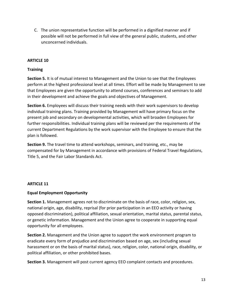C. The union representative function will be performed in a dignified manner and if possible will not be performed in full view of the general public, students, and other unconcerned individuals.

## **ARTICLE 10**

#### **Training**

**Section 5.** It is of mutual interest to Management and the Union to see that the Employees perform at the highest professional level at all times. Effort will be made by Management to see that Employees are given the opportunity to attend courses, conferences and seminars to add in their development and achieve the goals and objectives of Management.

**Section 6.** Employees will discuss their training needs with their work supervisors to develop individual training plans. Training provided by Management will have primary focus on the present job and secondary on developmental activities, which will broaden Employees for further responsibilities. Individual training plans will be reviewed per the requirements of the current Department Regulations by the work supervisor with the Employee to ensure that the plan is followed.

**Section 9.** The travel time to attend workshops, seminars, and training, etc., may be compensated for by Management in accordance with provisions of Federal Travel Regulations, Title 5, and the Fair Labor Standards Act.

#### **ARTICLE 11**

### **Equal Employment Opportunity**

**Section 1.** Management agrees not to discriminate on the basis of race, color, religion, sex, national origin, age, disability, reprisal (for prior participation in an EEO activity or having opposed discrimination), political affiliation, sexual orientation, marital status, parental status, or genetic information. Management and the Union agree to cooperate in supporting equal opportunity for all employees.

**Section 2.** Management and the Union agree to support the work environment program to eradicate every form of prejudice and discrimination based on age, sex (including sexual harassment or on the basis of marital status), race, religion, color, national origin, disability, or political affiliation, or other prohibited bases.

**Section 3.** Management will post current agency EEO complaint contacts and procedures.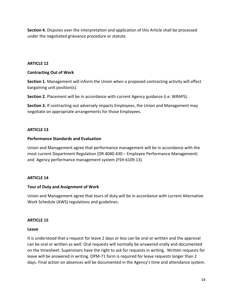**Section 4.** Disputes over the interpretation and application of this Article shall be processed under the negotiated grievance procedure or statute.

## **ARTICLE 12**

### **Contracting Out of Work**

**Section 1.** Management will inform the Union when a proposed contracting activity will affect bargaining unit position(s).

**Section 2.** Placement will be in accordance with current Agency guidance (i.e. WRAPS).

**Section 3.** If contracting out adversely impacts Employees, the Union and Management may negotiate on appropriate arrangements for those Employees.

## **ARTICLE 13**

#### **Performance Standards and Evaluation**

Union and Management agree that performance management will be in accordance with the most current Department Regulation (DR 4040-430 – Employee Performance Management) and Agency performance management system (FSH 6109.13).

### **ARTICLE 14**

### **Tour of Duty and Assignment of Work**

Union and Management agree that tours of duty will be in accordance with current Alternative Work Schedule (AWS) regulations and guidelines.

### **ARTICLE 15**

#### **Leave**

It is understood that a request for leave 2 days or less can be oral or written and the approval can be oral or written as well. Oral requests will normally be answered orally and documented on the timesheet. Supervisors have the right to ask for requests in writing. Written requests for leave will be answered in writing. OPM-71 form is required for leave requests longer than 2 days. Final action on absences will be documented in the Agency's time and attendance system.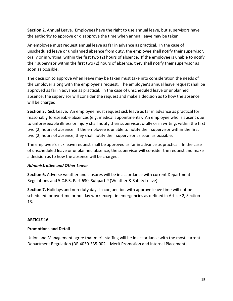**Section 2.** Annual Leave. Employees have the right to use annual leave, but supervisors have the authority to approve or disapprove the time when annual leave may be taken.

An employee must request annual leave as far in advance as practical. In the case of unscheduled leave or unplanned absence from duty, the employee shall notify their supervisor, orally or in writing, within the first two (2) hours of absence. If the employee is unable to notify their supervisor within the first two (2) hours of absence, they shall notify their supervisor as soon as possible.

The decision to approve when leave may be taken must take into consideration the needs of the Employer along with the employee's request. The employee's annual leave request shall be approved as far in advance as practical. In the case of unscheduled leave or unplanned absence, the supervisor will consider the request and make a decision as to how the absence will be charged.

**Section 3.** Sick Leave. An employee must request sick leave as far in advance as practical for reasonably foreseeable absences (e.g. medical appointments). An employee who is absent due to unforeseeable illness or injury shall notify their supervisor, orally or in writing, within the first two (2) hours of absence. If the employee is unable to notify their supervisor within the first two (2) hours of absence, they shall notify their supervisor as soon as possible.

The employee's sick leave request shall be approved as far in advance as practical. In the case of unscheduled leave or unplanned absence, the supervisor will consider the request and make a decision as to how the absence will be charged.

### *Administrative and Other Leave*

**Section 6.** Adverse weather and closures will be in accordance with current Department Regulations and 5 C.F.R. Part 630, Subpart P (Weather & Safety Leave).

**Section 7.** Holidays and non-duty days in conjunction with approve leave time will not be scheduled for overtime or holiday work except in emergencies as defined in Article 2, Section 13.

### **ARTICLE 16**

### **Promotions and Detail**

Union and Management agree that merit staffing will be in accordance with the most current Department Regulation (DR 4030-335-002 – Merit Promotion and Internal Placement).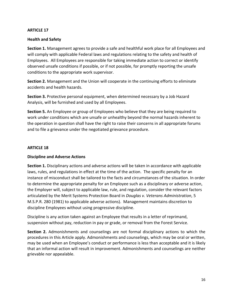#### **Health and Safety**

**Section 1.** Management agrees to provide a safe and healthful work place for all Employees and will comply with applicable Federal laws and regulations relating to the safety and health of Employees. All Employees are responsible for taking immediate action to correct or identify observed unsafe conditions if possible, or if not possible, for promptly reporting the unsafe conditions to the appropriate work supervisor.

**Section 2.** Management and the Union will cooperate in the continuing efforts to eliminate accidents and health hazards.

**Section 3.** Protective personal equipment, when determined necessary by a Job Hazard Analysis, will be furnished and used by all Employees.

**Section 5.** An Employee or group of Employees who believe that they are being required to work under conditions which are unsafe or unhealthy beyond the normal hazards inherent to the operation in question shall have the right to raise their concerns in all appropriate forums and to file a grievance under the negotiated grievance procedure.

#### **ARTICLE 18**

### **Discipline and Adverse Actions**

**Section 1.** Disciplinary actions and adverse actions will be taken in accordance with applicable laws, rules, and regulations in effect at the time of the action. The specific penalty for an instance of misconduct shall be tailored to the facts and circumstances of the situation. In order to determine the appropriate penalty for an Employee such as a disciplinary or adverse action, the Employer will, subject to applicable law, rule, and regulation, consider the relevant factors articulated by the Merit Systems Protection Board in *Douglas v. Veterans Administration*, 5 M.S.P.R. 280 (1981) to applicable adverse actions). Management maintains discretion to discipline Employees without using progressive discipline.

Discipline is any action taken against an Employee that results in a letter of reprimand, suspension without pay, reduction in pay or grade, or removal from the Forest Service.

**Section 2.** Admonishments and counselings are not formal disciplinary actions to which the procedures in this Article apply. Admonishments and counselings, which may be oral or written, may be used when an Employee's conduct or performance is less than acceptable and it is likely that an informal action will result in improvement. Admonishments and counselings are neither grievable nor appealable.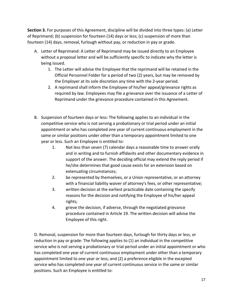**Section 3.** For purposes of this Agreement, discipline will be divided into three types: (a) Letter of Reprimand; (b) suspension for fourteen (14) days or less; (c) suspension of more than fourteen (14) days, removal, furlough without pay, or reduction in pay or grade.

- A. Letter of Reprimand: A Letter of Reprimand may be issued directly to an Employee without a proposal letter and will be sufficiently specific to indicate why the letter is being issued.
	- 1. The Letter will advise the Employee that the reprimand will be retained in the Official Personnel Folder for a period of two (2) years, but may be removed by the Employer at its sole discretion any time with the 2-year period.
	- 2. A reprimand shall inform the Employee of his/her appeal/grievance rights as required by law. Employees may file a grievance over the issuance of a Letter of Reprimand under the grievance procedure contained in this Agreement.
- B. Suspension of fourteen days or less: The following applies to an individual in the competitive service who is not serving a probationary or trial period under an initial appointment or who has completed one year of current continuous employment in the same or similar positions under other than a temporary appointment limited to one year or less. Such an Employee is entitled to:
	- 1. Not less than seven (7) calendar days a reasonable time to answer orally and in writing and to furnish affidavits and other documentary evidence in support of the answer. The deciding official may extend the reply period if he/she determines that good cause exists for an extension based on extenuating circumstances;
	- 2. be represented by themselves, or a Union representative, or an attorney with a financial liability waiver of attorney's fees, or other representative;
	- 3. written decision at the earliest practicable date containing the specify reasons for the decision and notifying the Employee of his/her appeal rights;
	- 4. grieve the decision, if adverse, through the negotiated grievance procedure contained in Article 19. The written decision will advise the Employee of this right.

D. Removal, suspension for more than fourteen days, furlough for thirty days or less, or reduction in pay or grade: The following applies to (1) an individual in the competitive service who is not serving a probationary or trial period under an initial appointment or who has completed one year of current continuous employment under other than a temporary appointment limited to one year or less; and (2) a preference eligible in the excepted service who has completed one year of current continuous service in the same or similar positions. Such an Employee is entitled to: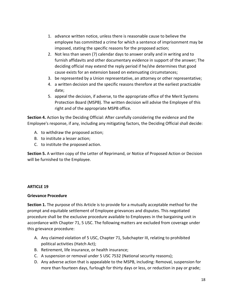- 1. advance written notice, unless there is reasonable cause to believe the employee has committed a crime for which a sentence of imprisonment may be imposed, stating the specific reasons for the proposed action;
- 2. Not less than seven (7) calendar days to answer orally and in writing and to furnish affidavits and other documentary evidence in support of the answer; The deciding official may extend the reply period if he/she determines that good cause exists for an extension based on extenuating circumstances;
- 3. be represented by a Union representative, an attorney or other representative;
- 4. a written decision and the specific reasons therefore at the earliest practicable date;
- 5. appeal the decision, if adverse, to the appropriate office of the Merit Systems Protection Board (MSPB). The written decision will advise the Employee of this right and of the appropriate MSPB office.

**Section 4.** Action by the Deciding Official: After carefully considering the evidence and the Employee's response, if any, including any mitigating factors, the Deciding Official shall decide:

- A. to withdraw the proposed action;
- B. to institute a lesser action;
- C. to institute the proposed action.

**Section 5.** A written copy of the Letter of Reprimand, or Notice of Proposed Action or Decision will be furnished to the Employee.

#### **ARTICLE 19**

#### **Grievance Procedure**

**Section 1.** The purpose of this Article is to provide for a mutually acceptable method for the prompt and equitable settlement of Employee grievances and disputes. This negotiated procedure shall be the exclusive procedure available to Employees in the bargaining unit in accordance with Chapter 71, 5 USC. The following matters are excluded from coverage under this grievance procedure:

- A. Any claimed violation of 5 USC, Chapter 71, Subchapter III, relating to prohibited political activities (Hatch Act);
- B. Retirement, life insurance, or health insurance;
- C. A suspension or removal under 5 USC 7532 (National security reasons);
- D. Any adverse action that is appealable to the MSPB, including: Removal, suspension for more than fourteen days, furlough for thirty days or less, or reduction in pay or grade;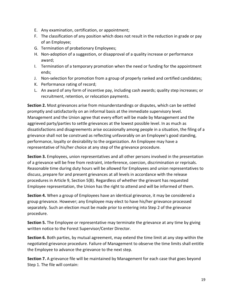- E. Any examination, certification, or appointment;
- F. The classification of any position which does not result in the reduction in grade or pay of an Employee;
- G. Termination of probationary Employees;
- H. Non-adoption of a suggestion, or disapproval of a quality increase or performance award;
- I. Termination of a temporary promotion when the need or funding for the appointment ends;
- J. Non-selection for promotion from a group of properly ranked and certified candidates;
- K. Performance rating of record;
- L. An award of any form of incentive pay, including cash awards; quality step increases; or recruitment, retention, or relocation payments.

**Section 2.** Most grievances arise from misunderstandings or disputes, which can be settled promptly and satisfactorily on an informal basis at the immediate supervisory level. Management and the Union agree that every effort will be made by Management and the aggrieved party/parties to settle grievances at the lowest possible level. In as much as dissatisfactions and disagreements arise occasionally among people in a situation, the filing of a grievance shall not be construed as reflecting unfavorably on an Employee's good standing, performance, loyalty or desirability to the organization. An Employee may have a representative of his/her choice at any step of the grievance procedure.

**Section 3.** Employees, union representatives and all other persons involved in the presentation of a grievance will be free from restraint, interference, coercion, discrimination or reprisals. Reasonable time during duty hours will be allowed for Employees and union representatives to discuss, prepare for and present grievances at all levels in accordance with the release procedures in Article 9, Section 5(B). Regardless of whether the grievant has requested Employee representation, the Union has the right to attend and will be informed of them.

**Section 4.** When a group of Employees have an identical grievance, it may be considered a group grievance. However; any Employee may elect to have his/her grievance processed separately. Such an election must be made prior to entering into Step 2 of the grievance procedure.

**Section 5.** The Employee or representative may terminate the grievance at any time by giving written notice to the Forest Supervisor/Center Director.

**Section 6.** Both parties, by mutual agreement, may extend the time limit at any step within the negotiated grievance procedure. Failure of Management to observe the time limits shall entitle the Employee to advance the grievance to the next step.

**Section 7.** A grievance file will be maintained by Management for each case that goes beyond Step 1. The file will contain: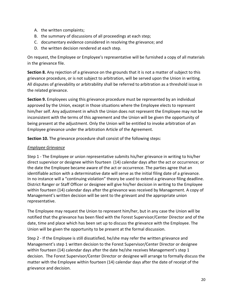- A. the written complaints;
- B. the summary of discussions of all proceedings at each step;
- C. documentary evidence considered in resolving the grievance; and
- D. the written decision rendered at each step.

On request, the Employee or Employee's representative will be furnished a copy of all materials in the grievance file.

**Section 8.** Any rejection of a grievance on the grounds that it is not a matter of subject to this grievance procedure, or is not subject to arbitration, will be served upon the Union in writing. All disputes of grievability or arbitrability shall be referred to arbitration as a threshold issue in the related grievance.

**Section 9.** Employees using this grievance procedure must be represented by an individual approved by the Union, except in those situations where the Employee elects to represent him/her self. Any adjustment in which the Union does not represent the Employee may not be inconsistent with the terms of this agreement and the Union will be given the opportunity of being present at the adjustment. Only the Union will be entitled to invoke arbitration of an Employee grievance under the arbitration Article of the Agreement.

**Section 10.** The grievance procedure shall consist of the following steps:

### *Employee Grievance*

Step 1 - The Employee or union representative submits his/her grievance in writing to his/her direct supervisor or designee within fourteen (14) calendar days after the act or occurrence; or the date the Employee became aware of the act or occurrence. The parties agree that an identifiable action with a determinative date will serve as the initial filing date of a grievance. In no instance will a "continuing violation" theory be used to extend a grievance filing deadline. District Ranger or Staff Officer or designee will give his/her decision in writing to the Employee within fourteen (14) calendar days after the grievance was received by Management. A copy of Management's written decision will be sent to the grievant and the appropriate union representative.

The Employee may request the Union to represent him/her, but in any case the Union will be notified that the grievance has been filed with the Forest Supervisor/Center Director and of the date, time and place which has been set up to discuss the grievance with the Employee. The Union will be given the opportunity to be present at the formal discussion.

Step 2 - If the Employee is still dissatisfied, he/she may refer the written grievance and Management's step 1 written decision to the Forest Supervisor/Center Director or designee within fourteen (14) calendar days after the date he/she receives Management's step 1 decision. The Forest Supervisor/Center Director or designee will arrange to formally discuss the matter with the Employee within fourteen (14) calendar days after the date of receipt of the grievance and decision.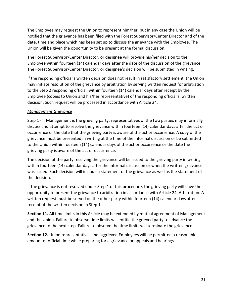The Employee may request the Union to represent him/her, but in any case the Union will be notified that the grievance has been filed with the Forest Supervisor/Center Director and of the date, time and place which has been set up to discuss the grievance with the Employee. The Union will be given the opportunity to be present at the formal discussion.

The Forest Supervisor/Center Director, or designee will provide his/her decision to the Employee within fourteen (14) calendar days after the date of the discussion of the grievance. The Forest Supervisor/Center Director, or designee's decision will be submitted in writing.

If the responding official's written decision does not result in satisfactory settlement, the Union may initiate resolution of the grievance by arbitration by serving written request for arbitration to the Step 2 responding official, within fourteen (14) calendar days after receipt by the Employee (copies to Union and his/her representative) of the responding official's written decision. Such request will be processed in accordance with Article 24.

# *Management Grievance*

Step 1 - If Management is the grieving party, representatives of the two parties may informally discuss and attempt to resolve the grievance within fourteen (14) calendar days after the act or occurrence or the date that the grieving party is aware of the act or occurrence. A copy of the grievance must be presented in writing at the time of the informal discussion or be submitted to the Union within fourteen (14) calendar days of the act or occurrence or the date the grieving party is aware of the act or occurrence.

The decision of the party receiving the grievance will be issued to the grieving party in writing within fourteen (14) calendar days after the informal discussion or when the written grievance was issued. Such decision will include a statement of the grievance as well as the statement of the decision.

If the grievance is not resolved under Step 1 of this procedure, the grieving party will have the opportunity to present the grievance to arbitration in accordance with Article 24, Arbitration. A written request must be served on the other party within fourteen (14) calendar days after receipt of the written decision in Step 1.

**Section 11.** All time limits in this Article may be extended by mutual agreement of Management and the Union. Failure to observe time limits will entitle the grieved party to advance the grievance to the next step. Failure to observe the time limits will terminate the grievance.

**Section 12.** Union representatives and aggrieved Employees will be permitted a reasonable amount of official time while preparing for a grievance or appeals and hearings.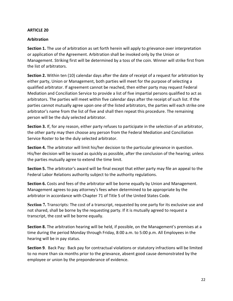#### **Arbitration**

**Section 1.** The use of arbitration as set forth herein will apply to grievance over interpretation or application of the Agreement. Arbitration shall be invoked only by the Union or Management. Striking first will be determined by a toss of the coin. Winner will strike first from the list of arbitrators.

**Section 2.** Within ten (10) calendar days after the date of receipt of a request for arbitration by either party, Union or Management, both parties will meet for the purpose of selecting a qualified arbitrator. If agreement cannot be reached, then either party may request Federal Mediation and Conciliation Service to provide a list of five impartial persons qualified to act as arbitrators. The parties will meet within five calendar days after the receipt of such list. If the parties cannot mutually agree upon one of the listed arbitrators, the parties will each strike one arbitrator's name from the list of five and shall then repeat this procedure. The remaining person will be the duly selected arbitrator.

**Section 3.** If, for any reason, either party refuses to participate in the selection of an arbitrator, the other party may then choose any person from the Federal Mediation and Conciliation Service Roster to be the duly selected arbitrator.

**Section 4.** The arbitrator will limit his/her decision to the particular grievance in question. His/her decision will be issued as quickly as possible, after the conclusion of the hearing; unless the parties mutually agree to extend the time limit.

**Section 5.** The arbitrator's award will be final except that either party may file an appeal to the Federal Labor Relations authority subject to the authority regulations.

**Section 6.** Costs and fees of the arbitrator will be borne equally by Union and Management. Management agrees to pay attorney's fees when determined to be appropriate by the arbitrator in accordance with Chapter 71 of Title 5 of the United States Code.

**Section 7.** Transcripts: The cost of a transcript, requested by one party for its exclusive use and not shared, shall be borne by the requesting party. If it is mutually agreed to request a transcript, the cost will be borne equally.

**Section 8.** The arbitration hearing will be held, if possible, on the Management's premises at a time during the period Monday through Friday, 8:00 a.m. to 5:00 p.m. All Employees in the hearing will be in pay status.

**Section 9**. Back Pay: Back pay for contractual violations or statutory infractions will be limited to no more than six months prior to the grievance, absent good cause demonstrated by the employee or union by the preponderance of evidence.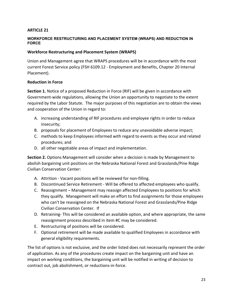#### **WORKFORCE RESTRUCTURING AND PLACEMENT SYSTEM (WRAPS) AND REDUCTION IN FORCE**

### **Workforce Restructuring and Placement System (WRAPS)**

Union and Management agree that WRAPS procedures will be in accordance with the most current Forest Service policy (FSH 6109.12 - Employment and Benefits, Chapter 20 Internal Placement).

#### **Reduction in Force**

**Section 1.** Notice of a proposed Reduction in Force (RIF) will be given in accordance with Government-wide regulations, allowing the Union an opportunity to negotiate to the extent required by the Labor Statute. The major purposes of this negotiation are to obtain the views and cooperation of the Union in regard to:

- A. increasing understanding of RIF procedures and employee rights in order to reduce insecurity;
- B. proposals for placement of Employees to reduce any unavoidable adverse impact;
- C. methods to keep Employees informed with regard to events as they occur and related procedures; and
- D. all other negotiable areas of impact and implementation.

**Section 2.** Options Management will consider when a decision is made by Management to abolish bargaining unit positions on the Nebraska National Forest and Grasslands/Pine Ridge Civilian Conservation Center:

- A. Attrition Vacant positions will be reviewed for non-filling.
- B. Discontinued Service Retirement Will be offered to affected employees who qualify.
- C. Reassignment Management may reassign affected Employees to positions for which they qualify. Management will make an effort to find assignments for those employees who can't be reassigned on the Nebraska National Forest and Grasslands/Pine Ridge Civilian Conservation Center. If
- D. Retraining- This will be considered an available option, and where appropriate, the same reassignment process described in item #C may be considered.
- E. Restructuring of positions will be considered.
- F. Optional retirement will be made available to qualified Employees in accordance with general eligibility requirements.

The list of options is not exclusive, and the order listed does not necessarily represent the order of application. As any of the procedures create impact on the bargaining unit and have an impact on working conditions, the bargaining unit will be notified in writing of decision to contract out, job abolishment, or reductions-in-force.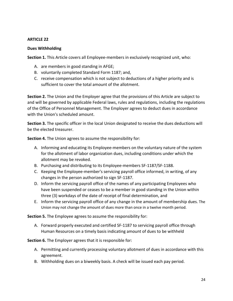#### **Dues Withholding**

**Section 1.** This Article covers all Employee-members in exclusively recognized unit, who:

- A. are members in good standing in AFGE;
- B. voluntarily completed Standard Form 1187; and,
- C. receive compensation which is not subject to deductions of a higher priority and is sufficient to cover the total amount of the allotment.

**Section 2.** The Union and the Employer agree that the provisions of this Article are subject to and will be governed by applicable Federal laws, rules and regulations, including the regulations of the Office of Personnel Management. The Employer agrees to deduct dues in accordance with the Union's scheduled amount.

**Section 3.** The specific officer in the local Union designated to receive the dues deductions will be the elected treasurer.

**Section 4.** The Union agrees to assume the responsibility for:

- A. Informing and educating its Employee-members on the voluntary nature of the system for the allotment of labor organization dues, including conditions under which the allotment may be revoked.
- B. Purchasing and distributing to its Employee-members SF-1187/SF-1188.
- C. Keeping the Employee-member's servicing payroll office informed, in writing, of any changes in the person authorized to sign SF-1187.
- D. Inform the servicing payroll office of the names of any participating Employees who have been suspended or ceases to be a member in good standing in the Union within three (3) workdays of the date of receipt of final determination, and
- E. Inform the servicing payroll office of any change in the amount of membership dues. The Union may not change the amount of dues more than once in a twelve month period.

**Section 5.** The Employee agrees to assume the responsibility for:

A. Forward properly executed and certified SF-1187 to servicing payroll office through Human Resources on a timely basis indicating amount of dues to be withheld

**Section 6.** The Employer agrees that it is responsible for:

- A. Permitting and currently processing voluntary allotment of dues in accordance with this agreement.
- B. Withholding dues on a biweekly basis. A check will be issued each pay period.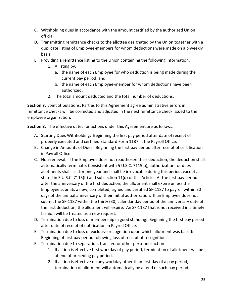- C. Withholding dues in accordance with the amount certified by the authorized Union official.
- D. Transmitting remittance checks to the allottee designated by the Union together with a duplicate listing of Employee-members for whom deductions were made on a biweekly basis.
- E. Providing a remittance listing to the Union containing the following information:
	- 1. A listing by:
		- a. the name of each Employee for who deduction is being made during the current pay period; and
		- b. the name of each Employee-member for whom deductions have been authorized.
	- 2. The total amount deducted and the total number of deductions.

**Section 7.** Joint Stipulations; Parties to this Agreement agree administrative errors in remittance checks will be corrected and adjusted in the next remittance check issued to the employee organization.

**Section 8.** The effective dates for actions under this Agreement are as follows:

- A. Starting Dues Withholding: Beginning the first pay period after date of receipt of properly executed and certified Standard Form 1187 in the Payroll Office.
- B. Change in Amounts of Dues: Beginning the first pay period after receipt of certification in Payroll Office.
- C. Non-renewal. If the Employee does not reauthorize their deduction, the deduction shall automatically terminate. Consistent with 5 U.S.C. 7115(a), authorization for dues allotments shall last for one year and shall be irrevocable during this period, except as stated in 5 U.S.C. 7115(b) and subsection 11(d) of this Article. At the first pay period after the anniversary of the first deduction, the allotment shall expire unless the Employee submits a new, completed, signed and certified SF-1187 to payroll within 30 days of the annual anniversary of their initial authorization. If an Employee does not submit the SF-1187 within the thirty (30) calendar day period of the anniversary date of the first deduction, the allotment will expire. An SF-1187 that is not received in a timely fashion will be treated as a new request.
- D. Termination due to loss of membership in good standing: Beginning the first pay period after date of receipt of notification in Payroll Office.
- E. Termination due to loss of exclusive recognition upon which allotment was based: Beginning of first pay period following loss of receipt of recognition.
- F. Termination due to separation, transfer, or other personnel action
	- 1. If action is effective first workday of pay period, termination of allotment will be at end of preceding pay period.
	- 2. If action is effective on any workday other than first day of a pay period, termination of allotment will automatically be at end of such pay period.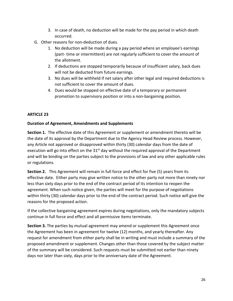- 3. In case of death, no deduction will be made for the pay period in which death occurred.
- G. Other reasons for non-deduction of dues.
	- 1. No deduction will be made during a pay period where an employee's earnings (part- time or intermittent) are not regularly sufficient to cover the amount of the allotment.
	- 2. If deductions are stopped temporarily because of insufficient salary, back dues will not be deducted from future earnings.
	- 3. No dues will be withheld if net salary after other legal and required deductions is not sufficient to cover the amount of dues.
	- 4. Dues would be stopped on effective date of a temporary or permanent promotion to supervisory position or into a non-bargaining position.

# **Duration of Agreement, Amendments and Supplements**

**Section 1.** The effective date of this Agreement or supplement or amendment thereto will be the date of its approval by the Department due to the Agency Head Review process. However, any Article not approved or disapproved within thirty (30) calendar days from the date of execution will go into effect on the  $31<sup>st</sup>$  day without the required approval of the Department and will be binding on the parties subject to the provisions of law and any other applicable rules or regulations.

**Section 2.** This Agreement will remain in full force and effect for five (5) years from its effective date. Either party may give written notice to the other party not more than ninety nor less than sixty days prior to the end of the contract period of its intention to reopen the agreement. When such notice given, the parties will meet for the purpose of negotiations within thirty (30) calendar days prior to the end of the contract period. Such notice will give the reasons for the proposed action.

If the collective bargaining agreement expires during negotiations, only the mandatory subjects continue in full force and effect and all permissive items terminate.

**Section 3.** The parties by mutual agreement may amend or supplement this Agreement once the Agreement has been in agreement for twelve (12) months, and yearly thereafter. Any request for amendment from either party shall be in writing and must include a summary of the proposed amendment or supplement. Changes other than those covered by the subject matter of the summary will be considered. Such requests must be submitted not earlier than ninety days nor later than sixty, days prior to the anniversary date of the Agreement.